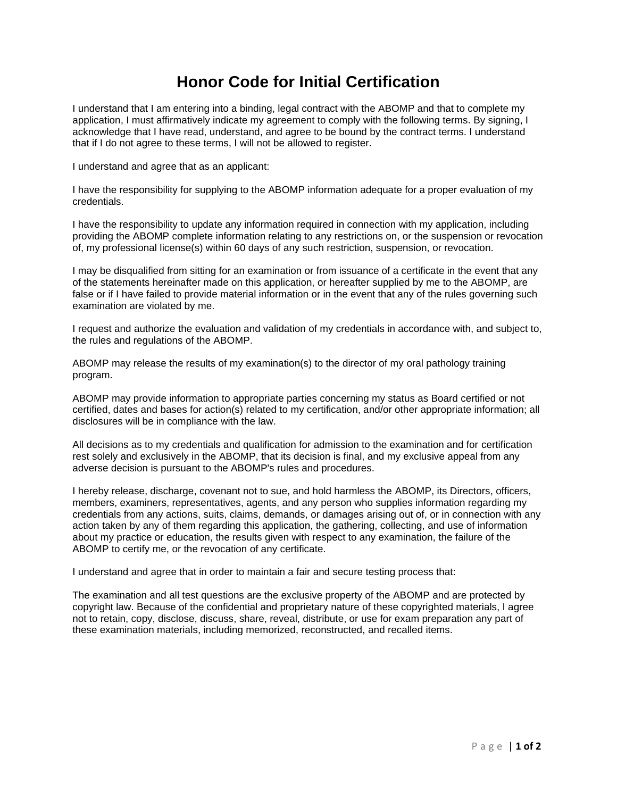## **Honor Code for Initial Certification**

I understand that I am entering into a binding, legal contract with the ABOMP and that to complete my application, I must affirmatively indicate my agreement to comply with the following terms. By signing, I acknowledge that I have read, understand, and agree to be bound by the contract terms. I understand that if I do not agree to these terms, I will not be allowed to register.

I understand and agree that as an applicant:

I have the responsibility for supplying to the ABOMP information adequate for a proper evaluation of my credentials.

I have the responsibility to update any information required in connection with my application, including providing the ABOMP complete information relating to any restrictions on, or the suspension or revocation of, my professional license(s) within 60 days of any such restriction, suspension, or revocation.

I may be disqualified from sitting for an examination or from issuance of a certificate in the event that any of the statements hereinafter made on this application, or hereafter supplied by me to the ABOMP, are false or if I have failed to provide material information or in the event that any of the rules governing such examination are violated by me.

I request and authorize the evaluation and validation of my credentials in accordance with, and subject to, the rules and regulations of the ABOMP.

ABOMP may release the results of my examination(s) to the director of my oral pathology training program.

ABOMP may provide information to appropriate parties concerning my status as Board certified or not certified, dates and bases for action(s) related to my certification, and/or other appropriate information; all disclosures will be in compliance with the law.

All decisions as to my credentials and qualification for admission to the examination and for certification rest solely and exclusively in the ABOMP, that its decision is final, and my exclusive appeal from any adverse decision is pursuant to the ABOMP's rules and procedures.

I hereby release, discharge, covenant not to sue, and hold harmless the ABOMP, its Directors, officers, members, examiners, representatives, agents, and any person who supplies information regarding my credentials from any actions, suits, claims, demands, or damages arising out of, or in connection with any action taken by any of them regarding this application, the gathering, collecting, and use of information about my practice or education, the results given with respect to any examination, the failure of the ABOMP to certify me, or the revocation of any certificate.

I understand and agree that in order to maintain a fair and secure testing process that:

The examination and all test questions are the exclusive property of the ABOMP and are protected by copyright law. Because of the confidential and proprietary nature of these copyrighted materials, I agree not to retain, copy, disclose, discuss, share, reveal, distribute, or use for exam preparation any part of these examination materials, including memorized, reconstructed, and recalled items.